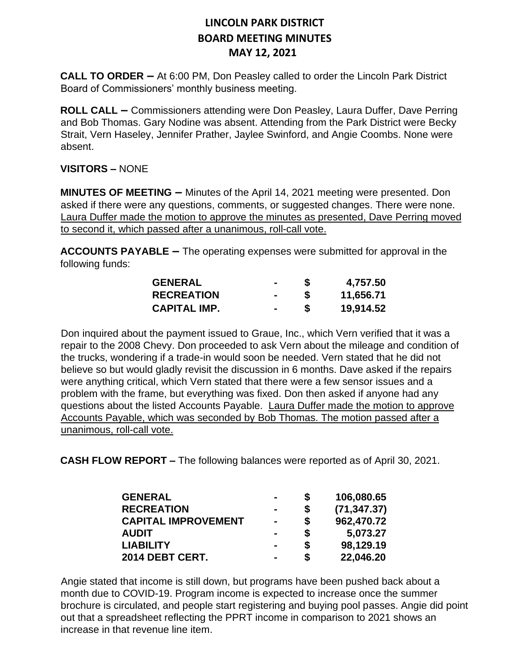**CALL TO ORDER –** At 6:00 PM, Don Peasley called to order the Lincoln Park District Board of Commissioners' monthly business meeting.

**ROLL CALL –** Commissioners attending were Don Peasley, Laura Duffer, Dave Perring and Bob Thomas. Gary Nodine was absent. Attending from the Park District were Becky Strait, Vern Haseley, Jennifer Prather, Jaylee Swinford, and Angie Coombs. None were absent.

#### **VISITORS –** NONE

**MINUTES OF MEETING –** Minutes of the April 14, 2021 meeting were presented. Don asked if there were any questions, comments, or suggested changes. There were none. Laura Duffer made the motion to approve the minutes as presented, Dave Perring moved to second it, which passed after a unanimous, roll-call vote.

**ACCOUNTS PAYABLE –** The operating expenses were submitted for approval in the following funds:

| <b>GENERAL</b>    |  | 4,757.50  |
|-------------------|--|-----------|
| <b>RECREATION</b> |  | 11,656.71 |
| CAPITAL IMP.      |  | 19,914.52 |

Don inquired about the payment issued to Graue, Inc., which Vern verified that it was a repair to the 2008 Chevy. Don proceeded to ask Vern about the mileage and condition of the trucks, wondering if a trade-in would soon be needed. Vern stated that he did not believe so but would gladly revisit the discussion in 6 months. Dave asked if the repairs were anything critical, which Vern stated that there were a few sensor issues and a problem with the frame, but everything was fixed. Don then asked if anyone had any questions about the listed Accounts Payable. Laura Duffer made the motion to approve Accounts Payable, which was seconded by Bob Thomas. The motion passed after a unanimous, roll-call vote.

**CASH FLOW REPORT –** The following balances were reported as of April 30, 2021.

| <b>GENERAL</b>             | $\blacksquare$ | S  | 106,080.65   |
|----------------------------|----------------|----|--------------|
| <b>RECREATION</b>          |                | \$ | (71, 347.37) |
| <b>CAPITAL IMPROVEMENT</b> | $\blacksquare$ | \$ | 962,470.72   |
| <b>AUDIT</b>               | $\blacksquare$ | \$ | 5,073.27     |
| <b>LIABILITY</b>           |                | \$ | 98,129.19    |
| 2014 DEBT CERT.            |                | \$ | 22,046.20    |

Angie stated that income is still down, but programs have been pushed back about a month due to COVID-19. Program income is expected to increase once the summer brochure is circulated, and people start registering and buying pool passes. Angie did point out that a spreadsheet reflecting the PPRT income in comparison to 2021 shows an increase in that revenue line item.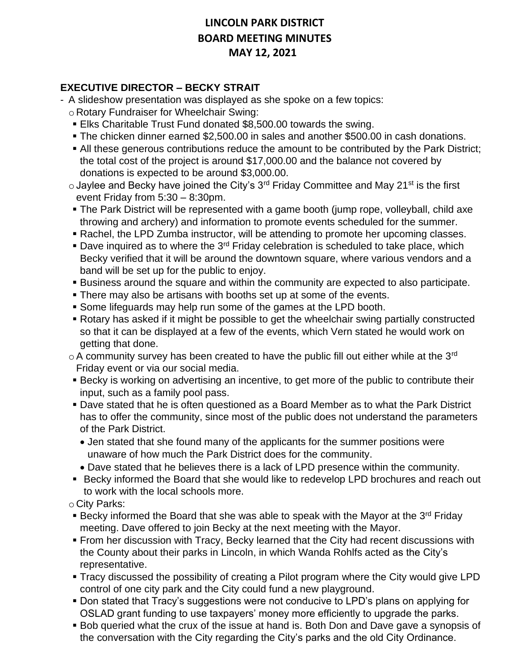#### **EXECUTIVE DIRECTOR – BECKY STRAIT**

- A slideshow presentation was displayed as she spoke on a few topics:
	- o Rotary Fundraiser for Wheelchair Swing:
	- **Elks Charitable Trust Fund donated \$8,500.00 towards the swing.**
	- The chicken dinner earned \$2,500.00 in sales and another \$500.00 in cash donations.
	- All these generous contributions reduce the amount to be contributed by the Park District; the total cost of the project is around \$17,000.00 and the balance not covered by donations is expected to be around \$3,000.00.
	- $\circ$  Jaylee and Becky have joined the City's 3<sup>rd</sup> Friday Committee and May 21<sup>st</sup> is the first event Friday from 5:30 – 8:30pm.
	- The Park District will be represented with a game booth (jump rope, volleyball, child axe throwing and archery) and information to promote events scheduled for the summer.
	- Rachel, the LPD Zumba instructor, will be attending to promote her upcoming classes.
	- **Dave inquired as to where the 3<sup>rd</sup> Friday celebration is scheduled to take place, which** Becky verified that it will be around the downtown square, where various vendors and a band will be set up for the public to enjoy.
	- Business around the square and within the community are expected to also participate.
	- **There may also be artisans with booths set up at some of the events.**
	- Some lifeguards may help run some of the games at the LPD booth.
	- Rotary has asked if it might be possible to get the wheelchair swing partially constructed so that it can be displayed at a few of the events, which Vern stated he would work on getting that done.
	- $\circ$  A community survey has been created to have the public fill out either while at the 3<sup>rd</sup> Friday event or via our social media.
	- **Example 2** Becky is working on advertising an incentive, to get more of the public to contribute their input, such as a family pool pass.
	- Dave stated that he is often questioned as a Board Member as to what the Park District has to offer the community, since most of the public does not understand the parameters of the Park District.
		- Jen stated that she found many of the applicants for the summer positions were unaware of how much the Park District does for the community.
		- Dave stated that he believes there is a lack of LPD presence within the community.
	- Becky informed the Board that she would like to redevelop LPD brochures and reach out to work with the local schools more.
	- o City Parks:
	- **EXECT** Becky informed the Board that she was able to speak with the Mayor at the 3<sup>rd</sup> Friday meeting. Dave offered to join Becky at the next meeting with the Mayor.
	- **From her discussion with Tracy, Becky learned that the City had recent discussions with** the County about their parks in Lincoln, in which Wanda Rohlfs acted as the City's representative.
	- Tracy discussed the possibility of creating a Pilot program where the City would give LPD control of one city park and the City could fund a new playground.
	- Don stated that Tracy's suggestions were not conducive to LPD's plans on applying for OSLAD grant funding to use taxpayers' money more efficiently to upgrade the parks.
	- Bob queried what the crux of the issue at hand is. Both Don and Dave gave a synopsis of the conversation with the City regarding the City's parks and the old City Ordinance.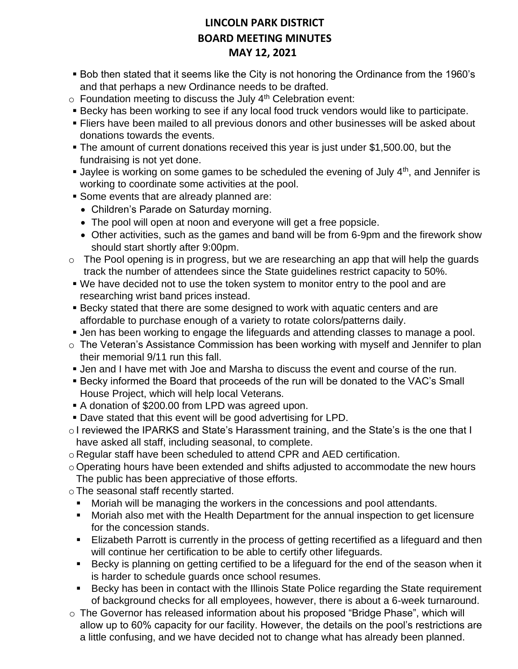- Bob then stated that it seems like the City is not honoring the Ordinance from the 1960's and that perhaps a new Ordinance needs to be drafted.
- $\circ$  Foundation meeting to discuss the July 4<sup>th</sup> Celebration event:
- **EXECT As EXECT A** Becky has been working to see if any local food truck vendors would like to participate.
- **Eliers have been mailed to all previous donors and other businesses will be asked about** donations towards the events.
- The amount of current donations received this year is just under \$1,500.00, but the fundraising is not yet done.
- **•** Jaylee is working on some games to be scheduled the evening of July  $4<sup>th</sup>$ , and Jennifer is working to coordinate some activities at the pool.
- **Some events that are already planned are:** 
	- Children's Parade on Saturday morning.
	- The pool will open at noon and everyone will get a free popsicle.
	- Other activities, such as the games and band will be from 6-9pm and the firework show should start shortly after 9:00pm.
- $\circ$  The Pool opening is in progress, but we are researching an app that will help the guards track the number of attendees since the State guidelines restrict capacity to 50%.
- We have decided not to use the token system to monitor entry to the pool and are researching wrist band prices instead.
- Becky stated that there are some designed to work with aquatic centers and are affordable to purchase enough of a variety to rotate colors/patterns daily.
- **.** Jen has been working to engage the lifeguards and attending classes to manage a pool.
- o The Veteran's Assistance Commission has been working with myself and Jennifer to plan their memorial 9/11 run this fall.
- **.** Jen and I have met with Joe and Marsha to discuss the event and course of the run.
- Becky informed the Board that proceeds of the run will be donated to the VAC's Small House Project, which will help local Veterans.
- A donation of \$200.00 from LPD was agreed upon.
- **Dave stated that this event will be good advertising for LPD.**
- o I reviewed the IPARKS and State's Harassment training, and the State's is the one that I have asked all staff, including seasonal, to complete.
- o Regular staff have been scheduled to attend CPR and AED certification.
- o Operating hours have been extended and shifts adjusted to accommodate the new hours The public has been appreciative of those efforts.
- oThe seasonal staff recently started.
	- Moriah will be managing the workers in the concessions and pool attendants.
	- Moriah also met with the Health Department for the annual inspection to get licensure for the concession stands.
	- **Elizabeth Parrott is currently in the process of getting recertified as a lifeguard and then** will continue her certification to be able to certify other lifeguards.
	- Becky is planning on getting certified to be a lifeguard for the end of the season when it is harder to schedule guards once school resumes.
	- Becky has been in contact with the Illinois State Police regarding the State requirement of background checks for all employees, however, there is about a 6-week turnaround.
- o The Governor has released information about his proposed "Bridge Phase", which will allow up to 60% capacity for our facility. However, the details on the pool's restrictions are a little confusing, and we have decided not to change what has already been planned.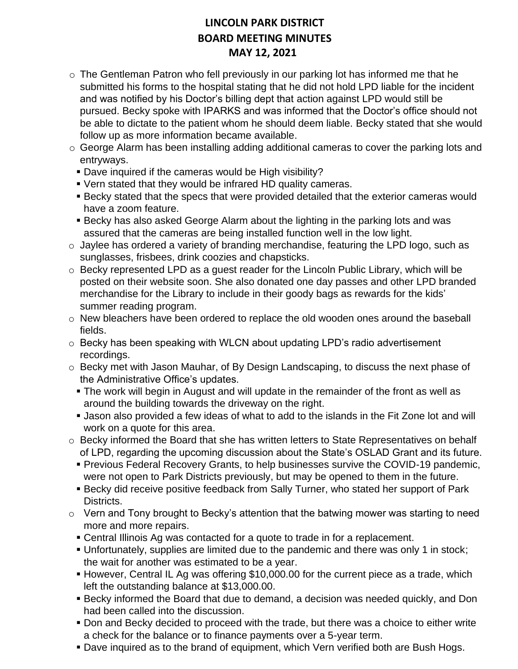- o The Gentleman Patron who fell previously in our parking lot has informed me that he submitted his forms to the hospital stating that he did not hold LPD liable for the incident and was notified by his Doctor's billing dept that action against LPD would still be pursued. Becky spoke with IPARKS and was informed that the Doctor's office should not be able to dictate to the patient whom he should deem liable. Becky stated that she would follow up as more information became available.
- o George Alarm has been installing adding additional cameras to cover the parking lots and entryways.
	- Dave inquired if the cameras would be High visibility?
	- Vern stated that they would be infrared HD quality cameras.
	- **EXECT SECT SECT SECT SECT SECT FIELD FIGURE IS NOTED FIGURE.** Becky stated that the exterior cameras would have a zoom feature.
	- Becky has also asked George Alarm about the lighting in the parking lots and was assured that the cameras are being installed function well in the low light.
- $\circ$  Jaylee has ordered a variety of branding merchandise, featuring the LPD logo, such as sunglasses, frisbees, drink coozies and chapsticks.
- o Becky represented LPD as a guest reader for the Lincoln Public Library, which will be posted on their website soon. She also donated one day passes and other LPD branded merchandise for the Library to include in their goody bags as rewards for the kids' summer reading program.
- o New bleachers have been ordered to replace the old wooden ones around the baseball fields.
- $\circ$  Becky has been speaking with WLCN about updating LPD's radio advertisement recordings.
- o Becky met with Jason Mauhar, of By Design Landscaping, to discuss the next phase of the Administrative Office's updates.
	- **The work will begin in August and will update in the remainder of the front as well as** around the building towards the driveway on the right.
	- **.** Jason also provided a few ideas of what to add to the islands in the Fit Zone lot and will work on a quote for this area.
- o Becky informed the Board that she has written letters to State Representatives on behalf of LPD, regarding the upcoming discussion about the State's OSLAD Grant and its future.
	- Previous Federal Recovery Grants, to help businesses survive the COVID-19 pandemic, were not open to Park Districts previously, but may be opened to them in the future.
	- **EXECT A** Becky did receive positive feedback from Sally Turner, who stated her support of Park Districts.
- $\circ$  Vern and Tony brought to Becky's attention that the batwing mower was starting to need more and more repairs.
	- Central Illinois Ag was contacted for a quote to trade in for a replacement.
	- Unfortunately, supplies are limited due to the pandemic and there was only 1 in stock; the wait for another was estimated to be a year.
	- However, Central IL Ag was offering \$10,000.00 for the current piece as a trade, which left the outstanding balance at \$13,000.00.
	- **E** Becky informed the Board that due to demand, a decision was needed quickly, and Don had been called into the discussion.
	- **Don and Becky decided to proceed with the trade, but there was a choice to either write** a check for the balance or to finance payments over a 5-year term.
	- Dave inquired as to the brand of equipment, which Vern verified both are Bush Hogs.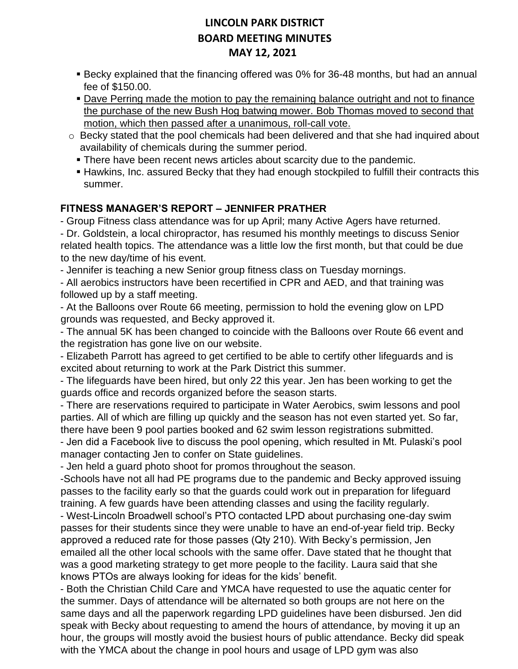- Becky explained that the financing offered was 0% for 36-48 months, but had an annual fee of \$150.00.
- Dave Perring made the motion to pay the remaining balance outright and not to finance the purchase of the new Bush Hog batwing mower. Bob Thomas moved to second that motion, which then passed after a unanimous, roll-call vote.
- o Becky stated that the pool chemicals had been delivered and that she had inquired about availability of chemicals during the summer period.
	- **There have been recent news articles about scarcity due to the pandemic.**
	- **EXTERGHED Hawkins, Inc. assured Becky that they had enough stockpiled to fulfill their contracts this** summer.

### **FITNESS MANAGER'S REPORT – JENNIFER PRATHER**

- Group Fitness class attendance was for up April; many Active Agers have returned.

- Dr. Goldstein, a local chiropractor, has resumed his monthly meetings to discuss Senior related health topics. The attendance was a little low the first month, but that could be due to the new day/time of his event.

- Jennifer is teaching a new Senior group fitness class on Tuesday mornings.

- All aerobics instructors have been recertified in CPR and AED, and that training was followed up by a staff meeting.

- At the Balloons over Route 66 meeting, permission to hold the evening glow on LPD grounds was requested, and Becky approved it.

- The annual 5K has been changed to coincide with the Balloons over Route 66 event and the registration has gone live on our website.

- Elizabeth Parrott has agreed to get certified to be able to certify other lifeguards and is excited about returning to work at the Park District this summer.

- The lifeguards have been hired, but only 22 this year. Jen has been working to get the guards office and records organized before the season starts.

- There are reservations required to participate in Water Aerobics, swim lessons and pool parties. All of which are filling up quickly and the season has not even started yet. So far, there have been 9 pool parties booked and 62 swim lesson registrations submitted.

- Jen did a Facebook live to discuss the pool opening, which resulted in Mt. Pulaski's pool manager contacting Jen to confer on State guidelines.

- Jen held a guard photo shoot for promos throughout the season.

-Schools have not all had PE programs due to the pandemic and Becky approved issuing passes to the facility early so that the guards could work out in preparation for lifeguard training. A few guards have been attending classes and using the facility regularly.

- West-Lincoln Broadwell school's PTO contacted LPD about purchasing one-day swim passes for their students since they were unable to have an end-of-year field trip. Becky approved a reduced rate for those passes (Qty 210). With Becky's permission, Jen emailed all the other local schools with the same offer. Dave stated that he thought that was a good marketing strategy to get more people to the facility. Laura said that she knows PTOs are always looking for ideas for the kids' benefit.

- Both the Christian Child Care and YMCA have requested to use the aquatic center for the summer. Days of attendance will be alternated so both groups are not here on the same days and all the paperwork regarding LPD guidelines have been disbursed. Jen did speak with Becky about requesting to amend the hours of attendance, by moving it up an hour, the groups will mostly avoid the busiest hours of public attendance. Becky did speak with the YMCA about the change in pool hours and usage of LPD gym was also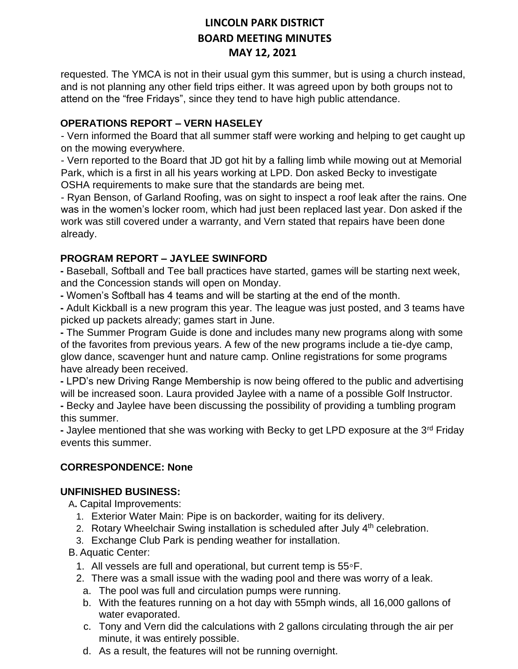requested. The YMCA is not in their usual gym this summer, but is using a church instead, and is not planning any other field trips either. It was agreed upon by both groups not to attend on the "free Fridays", since they tend to have high public attendance.

#### **OPERATIONS REPORT – VERN HASELEY**

- Vern informed the Board that all summer staff were working and helping to get caught up on the mowing everywhere.

- Vern reported to the Board that JD got hit by a falling limb while mowing out at Memorial Park, which is a first in all his years working at LPD. Don asked Becky to investigate OSHA requirements to make sure that the standards are being met.

- Ryan Benson, of Garland Roofing, was on sight to inspect a roof leak after the rains. One was in the women's locker room, which had just been replaced last year. Don asked if the work was still covered under a warranty, and Vern stated that repairs have been done already.

#### **PROGRAM REPORT – JAYLEE SWINFORD**

**-** Baseball, Softball and Tee ball practices have started, games will be starting next week, and the Concession stands will open on Monday.

**-** Women's Softball has 4 teams and will be starting at the end of the month.

**-** Adult Kickball is a new program this year. The league was just posted, and 3 teams have picked up packets already; games start in June.

**-** The Summer Program Guide is done and includes many new programs along with some of the favorites from previous years. A few of the new programs include a tie-dye camp, glow dance, scavenger hunt and nature camp. Online registrations for some programs have already been received.

**-** LPD's new Driving Range Membership is now being offered to the public and advertising will be increased soon. Laura provided Jaylee with a name of a possible Golf Instructor. **-** Becky and Jaylee have been discussing the possibility of providing a tumbling program this summer.

**-** Jaylee mentioned that she was working with Becky to get LPD exposure at the 3rd Friday events this summer.

#### **CORRESPONDENCE: None**

#### **UNFINISHED BUSINESS:**

A**.** Capital Improvements:

- 1. Exterior Water Main: Pipe is on backorder, waiting for its delivery.
- 2. Rotary Wheelchair Swing installation is scheduled after July  $4<sup>th</sup>$  celebration.
- 3. Exchange Club Park is pending weather for installation.

B. Aquatic Center:

- 1. All vessels are full and operational, but current temp is 55◦F.
- 2. There was a small issue with the wading pool and there was worry of a leak.
	- a. The pool was full and circulation pumps were running.
	- b. With the features running on a hot day with 55mph winds, all 16,000 gallons of water evaporated.
	- c. Tony and Vern did the calculations with 2 gallons circulating through the air per minute, it was entirely possible.
	- d. As a result, the features will not be running overnight.